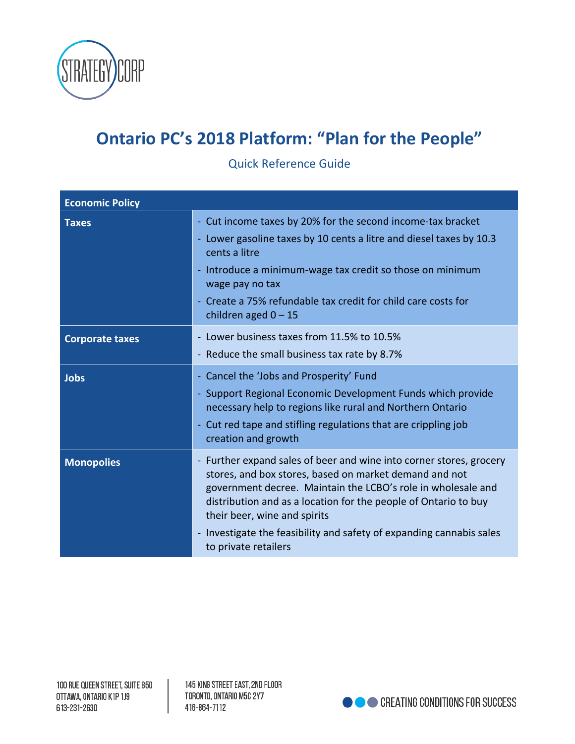

## **Ontario PC's 2018 Platform: "Plan for the People"**

Quick Reference Guide

| <b>Economic Policy</b> |                                                                                                                                                                                                                                                                                                                                                                                                                  |
|------------------------|------------------------------------------------------------------------------------------------------------------------------------------------------------------------------------------------------------------------------------------------------------------------------------------------------------------------------------------------------------------------------------------------------------------|
| <b>Taxes</b>           | - Cut income taxes by 20% for the second income-tax bracket<br>- Lower gasoline taxes by 10 cents a litre and diesel taxes by 10.3<br>cents a litre<br>- Introduce a minimum-wage tax credit so those on minimum<br>wage pay no tax<br>- Create a 75% refundable tax credit for child care costs for<br>children aged $0 - 15$                                                                                   |
| <b>Corporate taxes</b> | - Lower business taxes from 11.5% to 10.5%<br>- Reduce the small business tax rate by 8.7%                                                                                                                                                                                                                                                                                                                       |
| <b>Jobs</b>            | - Cancel the 'Jobs and Prosperity' Fund<br>Support Regional Economic Development Funds which provide<br>necessary help to regions like rural and Northern Ontario<br>- Cut red tape and stifling regulations that are crippling job<br>creation and growth                                                                                                                                                       |
| <b>Monopolies</b>      | Further expand sales of beer and wine into corner stores, grocery<br>$\blacksquare$<br>stores, and box stores, based on market demand and not<br>government decree. Maintain the LCBO's role in wholesale and<br>distribution and as a location for the people of Ontario to buy<br>their beer, wine and spirits<br>- Investigate the feasibility and safety of expanding cannabis sales<br>to private retailers |

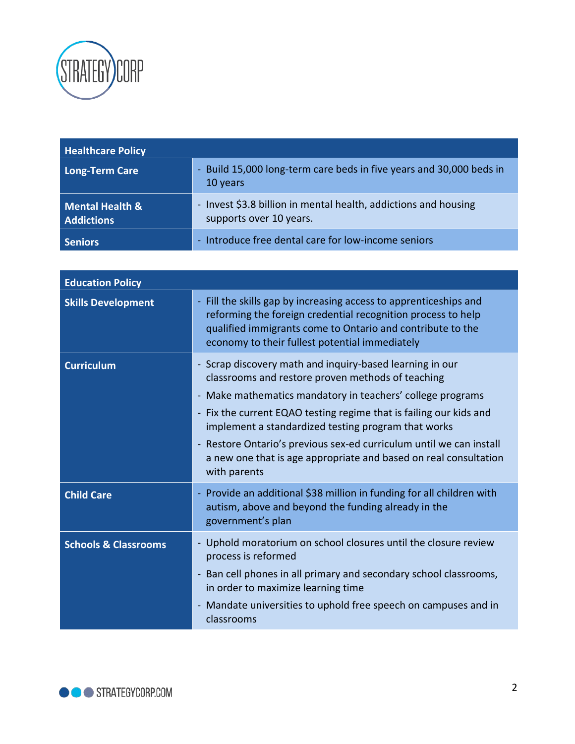

| <b>Healthcare Policy</b>                        |                                                                                            |
|-------------------------------------------------|--------------------------------------------------------------------------------------------|
| Long-Term Care                                  | - Build 15,000 long-term care beds in five years and 30,000 beds in<br>10 years            |
| <b>Mental Health &amp;</b><br><b>Addictions</b> | - Invest \$3.8 billion in mental health, addictions and housing<br>supports over 10 years. |
| <b>Seniors</b>                                  | - Introduce free dental care for low-income seniors                                        |

| <b>Education Policy</b>         |                                                                                                                                                                                                                                                                                                                                                                                                                                                                                     |
|---------------------------------|-------------------------------------------------------------------------------------------------------------------------------------------------------------------------------------------------------------------------------------------------------------------------------------------------------------------------------------------------------------------------------------------------------------------------------------------------------------------------------------|
| <b>Skills Development</b>       | - Fill the skills gap by increasing access to apprenticeships and<br>reforming the foreign credential recognition process to help<br>qualified immigrants come to Ontario and contribute to the<br>economy to their fullest potential immediately                                                                                                                                                                                                                                   |
| <b>Curriculum</b>               | - Scrap discovery math and inquiry-based learning in our<br>classrooms and restore proven methods of teaching<br>- Make mathematics mandatory in teachers' college programs<br>Fix the current EQAO testing regime that is failing our kids and<br>$\blacksquare$<br>implement a standardized testing program that works<br>- Restore Ontario's previous sex-ed curriculum until we can install<br>a new one that is age appropriate and based on real consultation<br>with parents |
| <b>Child Care</b>               | - Provide an additional \$38 million in funding for all children with<br>autism, above and beyond the funding already in the<br>government's plan                                                                                                                                                                                                                                                                                                                                   |
| <b>Schools &amp; Classrooms</b> | Uphold moratorium on school closures until the closure review<br>process is reformed<br>- Ban cell phones in all primary and secondary school classrooms,<br>in order to maximize learning time<br>Mandate universities to uphold free speech on campuses and in<br>classrooms                                                                                                                                                                                                      |

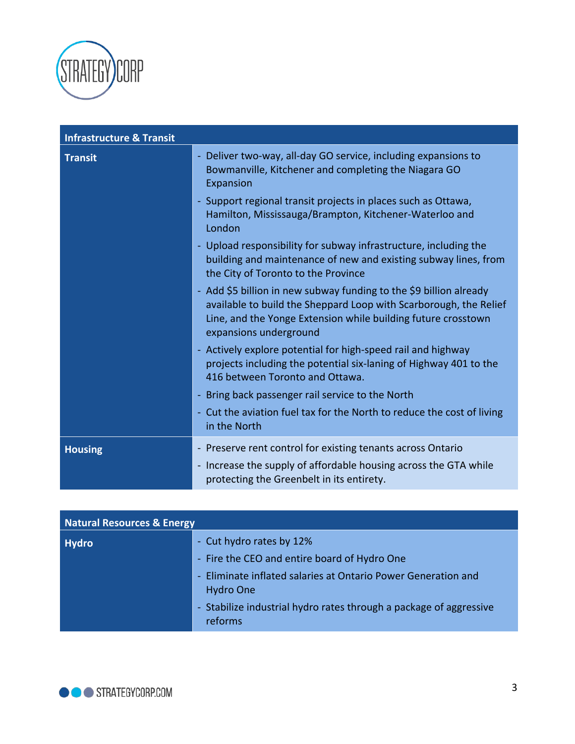

| <b>Infrastructure &amp; Transit</b> |                                                                                                                                                                                                                                    |
|-------------------------------------|------------------------------------------------------------------------------------------------------------------------------------------------------------------------------------------------------------------------------------|
| <b>Transit</b>                      | - Deliver two-way, all-day GO service, including expansions to<br>Bowmanville, Kitchener and completing the Niagara GO<br>Expansion                                                                                                |
|                                     | - Support regional transit projects in places such as Ottawa,<br>Hamilton, Mississauga/Brampton, Kitchener-Waterloo and<br>London                                                                                                  |
|                                     | - Upload responsibility for subway infrastructure, including the<br>building and maintenance of new and existing subway lines, from<br>the City of Toronto to the Province                                                         |
|                                     | - Add \$5 billion in new subway funding to the \$9 billion already<br>available to build the Sheppard Loop with Scarborough, the Relief<br>Line, and the Yonge Extension while building future crosstown<br>expansions underground |
|                                     | - Actively explore potential for high-speed rail and highway<br>projects including the potential six-laning of Highway 401 to the<br>416 between Toronto and Ottawa.                                                               |
|                                     | - Bring back passenger rail service to the North                                                                                                                                                                                   |
|                                     | - Cut the aviation fuel tax for the North to reduce the cost of living<br>in the North                                                                                                                                             |
| <b>Housing</b>                      | - Preserve rent control for existing tenants across Ontario                                                                                                                                                                        |
|                                     | - Increase the supply of affordable housing across the GTA while<br>protecting the Greenbelt in its entirety.                                                                                                                      |

| <b>Natural Resources &amp; Energy</b> |                                                                                   |
|---------------------------------------|-----------------------------------------------------------------------------------|
| <b>Hydro</b>                          | - Cut hydro rates by 12%<br>- Fire the CEO and entire board of Hydro One          |
|                                       | - Eliminate inflated salaries at Ontario Power Generation and<br><b>Hydro One</b> |
|                                       | - Stabilize industrial hydro rates through a package of aggressive<br>reforms     |

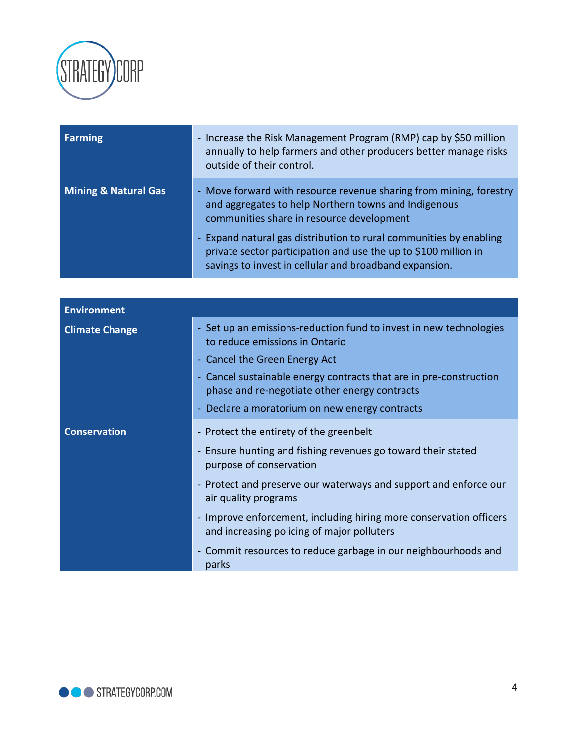

| Farming                         | - Increase the Risk Management Program (RMP) cap by \$50 million<br>annually to help farmers and other producers better manage risks<br>outside of their control.                               |
|---------------------------------|-------------------------------------------------------------------------------------------------------------------------------------------------------------------------------------------------|
| <b>Mining &amp; Natural Gas</b> | - Move forward with resource revenue sharing from mining, forestry<br>and aggregates to help Northern towns and Indigenous<br>communities share in resource development                         |
|                                 | - Expand natural gas distribution to rural communities by enabling<br>private sector participation and use the up to \$100 million in<br>savings to invest in cellular and broadband expansion. |

| <b>Environment</b>    |                                                                                                                     |
|-----------------------|---------------------------------------------------------------------------------------------------------------------|
| <b>Climate Change</b> | - Set up an emissions-reduction fund to invest in new technologies<br>to reduce emissions in Ontario                |
|                       | - Cancel the Green Energy Act                                                                                       |
|                       | - Cancel sustainable energy contracts that are in pre-construction<br>phase and re-negotiate other energy contracts |
|                       | Declare a moratorium on new energy contracts                                                                        |
| <b>Conservation</b>   | - Protect the entirety of the greenbelt                                                                             |
|                       | - Ensure hunting and fishing revenues go toward their stated<br>purpose of conservation                             |
|                       | - Protect and preserve our waterways and support and enforce our<br>air quality programs                            |
|                       | - Improve enforcement, including hiring more conservation officers<br>and increasing policing of major polluters    |
|                       | - Commit resources to reduce garbage in our neighbourhoods and<br>parks                                             |